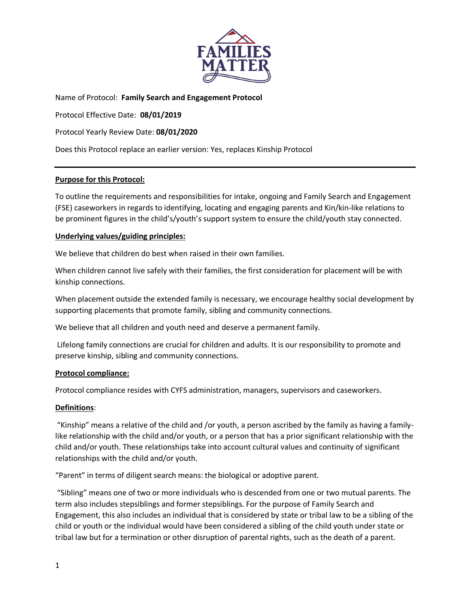

Name of Protocol: **Family Search and Engagement Protocol**

Protocol Effective Date: **08/01/2019**

Protocol Yearly Review Date: **08/01/2020**

Does this Protocol replace an earlier version: Yes, replaces Kinship Protocol

### **Purpose for this Protocol:**

To outline the requirements and responsibilities for intake, ongoing and Family Search and Engagement (FSE) caseworkers in regards to identifying, locating and engaging parents and Kin/kin-like relations to be prominent figures in the child's/youth's support system to ensure the child/youth stay connected.

### **Underlying values/guiding principles:**

We believe that children do best when raised in their own families.

When children cannot live safely with their families, the first consideration for placement will be with kinship connections.

When placement outside the extended family is necessary, we encourage healthy social development by supporting placements that promote family, sibling and community connections.

We believe that all children and youth need and deserve a permanent family.

Lifelong family connections are crucial for children and adults. It is our responsibility to promote and preserve kinship, sibling and community connections.

#### **Protocol compliance:**

Protocol compliance resides with CYFS administration, managers, supervisors and caseworkers.

#### **Definitions**:

"Kinship" means a relative of the child and /or youth, a person ascribed by the family as having a familylike relationship with the child and/or youth, or a person that has a prior significant relationship with the child and/or youth. These relationships take into account cultural values and continuity of significant relationships with the child and/or youth.

"Parent" in terms of diligent search means: the biological or adoptive parent.

"Sibling" means one of two or more individuals who is descended from one or two mutual parents. The term also includes stepsiblings and former stepsiblings. For the purpose of Family Search and Engagement, this also includes an individual that is considered by state or tribal law to be a sibling of the child or youth or the individual would have been considered a sibling of the child youth under state or tribal law but for a termination or other disruption of parental rights, such as the death of a parent.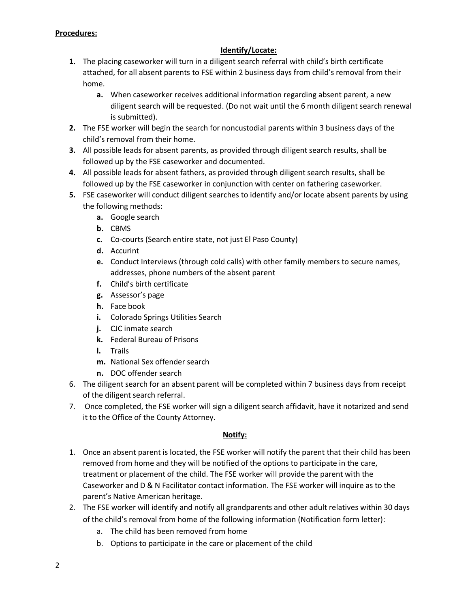## **Procedures:**

## **Identify/Locate:**

- **1.** The placing caseworker will turn in a diligent search referral with child's birth certificate attached, for all absent parents to FSE within 2 business days from child's removal from their home.
	- **a.** When caseworker receives additional information regarding absent parent, a new diligent search will be requested. (Do not wait until the 6 month diligent search renewal is submitted).
- **2.** The FSE worker will begin the search for noncustodial parents within 3 business days of the child's removal from their home.
- **3.** All possible leads for absent parents, as provided through diligent search results, shall be followed up by the FSE caseworker and documented.
- **4.** All possible leads for absent fathers, as provided through diligent search results, shall be followed up by the FSE caseworker in conjunction with center on fathering caseworker.
- **5.** FSE caseworker will conduct diligent searches to identify and/or locate absent parents by using the following methods:
	- **a.** Google search
	- **b.** CBMS
	- **c.** Co-courts (Search entire state, not just El Paso County)
	- **d.** Accurint
	- **e.** Conduct Interviews (through cold calls) with other family members to secure names, addresses, phone numbers of the absent parent
	- **f.** Child's birth certificate
	- **g.** Assessor's page
	- **h.** Face book
	- **i.** Colorado Springs Utilities Search
	- **j.** CJC inmate search
	- **k.** Federal Bureau of Prisons
	- **l.** Trails
	- **m.** National Sex offender search
	- **n.** DOC offender search
- 6. The diligent search for an absent parent will be completed within 7 business days from receipt of the diligent search referral.
- 7. Once completed, the FSE worker will sign a diligent search affidavit, have it notarized and send it to the Office of the County Attorney.

## **Notify:**

- 1. Once an absent parent is located, the FSE worker will notify the parent that their child has been removed from home and they will be notified of the options to participate in the care, treatment or placement of the child. The FSE worker will provide the parent with the Caseworker and D & N Facilitator contact information. The FSE worker will inquire as to the parent's Native American heritage.
- 2. The FSE worker will identify and notify all grandparents and other adult relatives within 30 days of the child's removal from home of the following information (Notification form letter):
	- a. The child has been removed from home
	- b. Options to participate in the care or placement of the child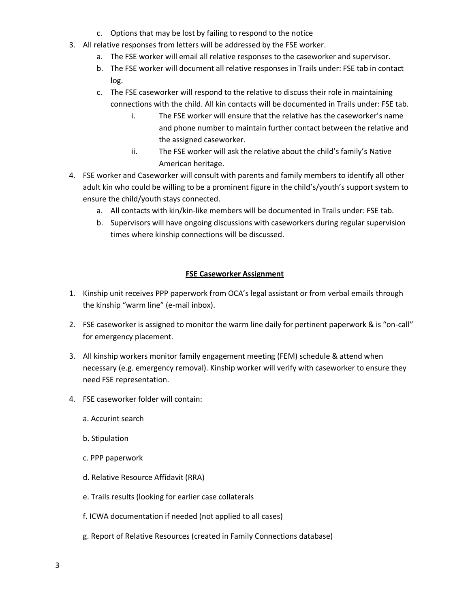- c. Options that may be lost by failing to respond to the notice
- 3. All relative responses from letters will be addressed by the FSE worker.
	- a. The FSE worker will email all relative responses to the caseworker and supervisor.
	- b. The FSE worker will document all relative responses in Trails under: FSE tab in contact log.
	- c. The FSE caseworker will respond to the relative to discuss their role in maintaining connections with the child. All kin contacts will be documented in Trails under: FSE tab.
		- i. The FSE worker will ensure that the relative has the caseworker's name and phone number to maintain further contact between the relative and the assigned caseworker.
		- ii. The FSE worker will ask the relative about the child's family's Native American heritage.
- 4. FSE worker and Caseworker will consult with parents and family members to identify all other adult kin who could be willing to be a prominent figure in the child's/youth's support system to ensure the child/youth stays connected.
	- a. All contacts with kin/kin-like members will be documented in Trails under: FSE tab.
	- b. Supervisors will have ongoing discussions with caseworkers during regular supervision times where kinship connections will be discussed.

# **FSE Caseworker Assignment**

- 1. Kinship unit receives PPP paperwork from OCA's legal assistant or from verbal emails through the kinship "warm line" (e-mail inbox).
- 2. FSE caseworker is assigned to monitor the warm line daily for pertinent paperwork & is "on-call" for emergency placement.
- 3. All kinship workers monitor family engagement meeting (FEM) schedule & attend when necessary (e.g. emergency removal). Kinship worker will verify with caseworker to ensure they need FSE representation.
- 4. FSE caseworker folder will contain:
	- a. Accurint search
	- b. Stipulation
	- c. PPP paperwork
	- d. Relative Resource Affidavit (RRA)
	- e. Trails results (looking for earlier case collaterals
	- f. ICWA documentation if needed (not applied to all cases)
	- g. Report of Relative Resources (created in Family Connections database)